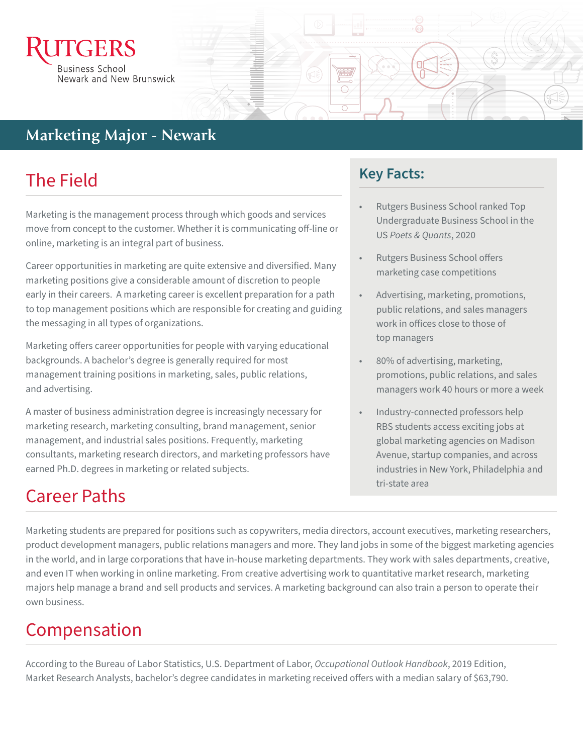

## **Marketing Marketing Major - Newark**

# The Field

Marketing is the management process through which goods and services move from concept to the customer. Whether it is communicating off-line or online, marketing is an integral part of business.

Career opportunities in marketing are quite extensive and diversified. Many marketing positions give a considerable amount of discretion to people early in their careers. A marketing career is excellent preparation for a path to top management positions which are responsible for creating and guiding the messaging in all types of organizations.

Marketing offers career opportunities for people with varying educational backgrounds. A bachelor's degree is generally required for most management training positions in marketing, sales, public relations, and advertising.

A master of business administration degree is increasingly necessary for marketing research, marketing consulting, brand management, senior management, and industrial sales positions. Frequently, marketing consultants, marketing research directors, and marketing professors have earned Ph.D. degrees in marketing or related subjects.

## **Key Facts:**

- Rutgers Business School ranked Top Undergraduate Business School in the US *Poets & Quants*, 2020
- Rutgers Business School offers marketing case competitions
- Advertising, marketing, promotions, public relations, and sales managers work in offices close to those of top managers
- 80% of advertising, marketing, promotions, public relations, and sales managers work 40 hours or more a week
- Industry-connected professors help RBS students access exciting jobs at global marketing agencies on Madison Avenue, startup companies, and across industries in New York, Philadelphia and tri-state area

# Career Paths

Marketing students are prepared for positions such as copywriters, media directors, account executives, marketing researchers, product development managers, public relations managers and more. They land jobs in some of the biggest marketing agencies in the world, and in large corporations that have in-house marketing departments. They work with sales departments, creative, and even IT when working in online marketing. From creative advertising work to quantitative market research, marketing majors help manage a brand and sell products and services. A marketing background can also train a person to operate their own business.

# Compensation

According to the Bureau of Labor Statistics, U.S. Department of Labor, *Occupational Outlook Handbook*, 2019 Edition, Market Research Analysts, bachelor's degree candidates in marketing received offers with a median salary of \$63,790.